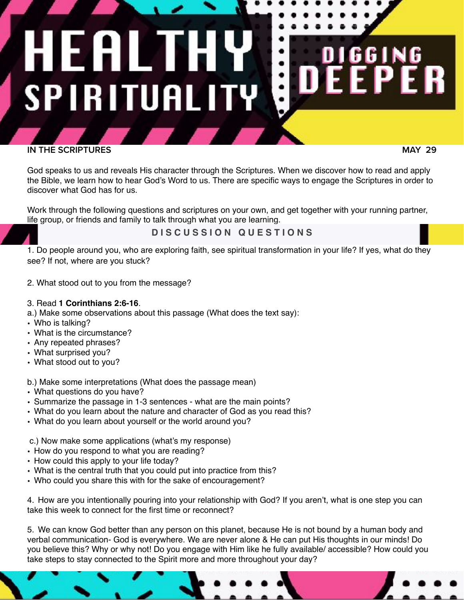# EALT **SPIRITUALITY**

# **IN THE SCRIPTURES**

 **MAY 29**

6 I

God speaks to us and reveals His character through the Scriptures. When we discover how to read and apply the Bible, we learn how to hear God's Word to us. There are specific ways to engage the Scriptures in order to discover what God has for us.

Work through the following questions and scriptures on your own, and get together with your running partner, life group, or friends and family to talk through what you are learning.

**D I S C U S S I O N Q U E S T I O N S** 

1. Do people around you, who are exploring faith, see spiritual transformation in your life? If yes, what do they see? If not, where are you stuck?

2. What stood out to you from the message?

### 3. Read **1 Corinthians 2:6-16**.

a.) Make some observations about this passage (What does the text say):

- Who is talking?
- What is the circumstance?
- Any repeated phrases?
- What surprised you?
- What stood out to you?

b.) Make some interpretations (What does the passage mean)

- What questions do you have?
- Summarize the passage in 1-3 sentences what are the main points?
- What do you learn about the nature and character of God as you read this?
- What do you learn about yourself or the world around you?

c.) Now make some applications (what's my response)

- How do you respond to what you are reading?
- How could this apply to your life today?
- What is the central truth that you could put into practice from this?
- Who could you share this with for the sake of encouragement?

4. How are you intentionally pouring into your relationship with God? If you aren't, what is one step you can take this week to connect for the first time or reconnect?

5. We can know God better than any person on this planet, because He is not bound by a human body and verbal communication- God is everywhere. We are never alone & He can put His thoughts in our minds! Do you believe this? Why or why not! Do you engage with Him like he fully available/ accessible? How could you take steps to stay connected to the Spirit more and more throughout your day?